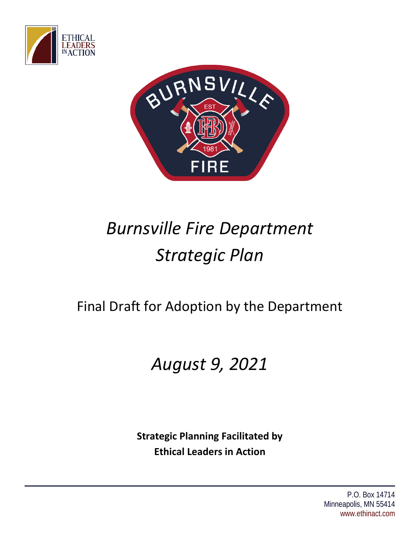



# *Burnsville Fire Department Strategic Plan*

# Final Draft for Adoption by the Department

# *August 9, 2021*

**Strategic Planning Facilitated by Ethical Leaders in Action**

> P.O. Box 14714 Minneapolis, MN 55414 www.ethinact.com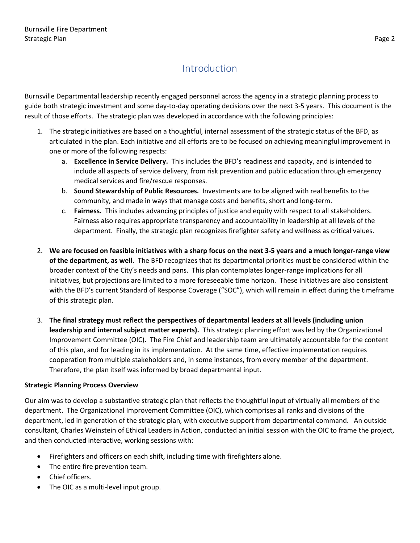# Introduction

<span id="page-1-0"></span>Burnsville Departmental leadership recently engaged personnel across the agency in a strategic planning process to guide both strategic investment and some day-to-day operating decisions over the next 3-5 years. This document is the result of those efforts. The strategic plan was developed in accordance with the following principles:

- 1. The strategic initiatives are based on a thoughtful, internal assessment of the strategic status of the BFD, as articulated in the plan. Each initiative and all efforts are to be focused on achieving meaningful improvement in one or more of the following respects:
	- a. **Excellence in Service Delivery.** This includes the BFD's readiness and capacity, and is intended to include all aspects of service delivery, from risk prevention and public education through emergency medical services and fire/rescue responses.
	- b. **Sound Stewardship of Public Resources.** Investments are to be aligned with real benefits to the community, and made in ways that manage costs and benefits, short and long-term.
	- c. **Fairness.** This includes advancing principles of justice and equity with respect to all stakeholders. Fairness also requires appropriate transparency and accountability in leadership at all levels of the department. Finally, the strategic plan recognizes firefighter safety and wellness as critical values.
- 2. **We are focused on feasible initiatives with a sharp focus on the next 3-5 years and a much longer-range view of the department, as well.** The BFD recognizes that its departmental priorities must be considered within the broader context of the City's needs and pans. This plan contemplates longer-range implications for all initiatives, but projections are limited to a more foreseeable time horizon. These initiatives are also consistent with the BFD's current Standard of Response Coverage ("SOC"), which will remain in effect during the timeframe of this strategic plan.
- 3. **The final strategy must reflect the perspectives of departmental leaders at all levels (including union leadership and internal subject matter experts).** This strategic planning effort was led by the Organizational Improvement Committee (OIC). The Fire Chief and leadership team are ultimately accountable for the content of this plan, and for leading in its implementation. At the same time, effective implementation requires cooperation from multiple stakeholders and, in some instances, from every member of the department. Therefore, the plan itself was informed by broad departmental input.

#### **Strategic Planning Process Overview**

Our aim was to develop a substantive strategic plan that reflects the thoughtful input of virtually all members of the department. The Organizational Improvement Committee (OIC), which comprises all ranks and divisions of the department, led in generation of the strategic plan, with executive support from departmental command. An outside consultant, Charles Weinstein of Ethical Leaders in Action, conducted an initial session with the OIC to frame the project, and then conducted interactive, working sessions with:

- Firefighters and officers on each shift, including time with firefighters alone.
- The entire fire prevention team.
- Chief officers.
- The OIC as a multi-level input group.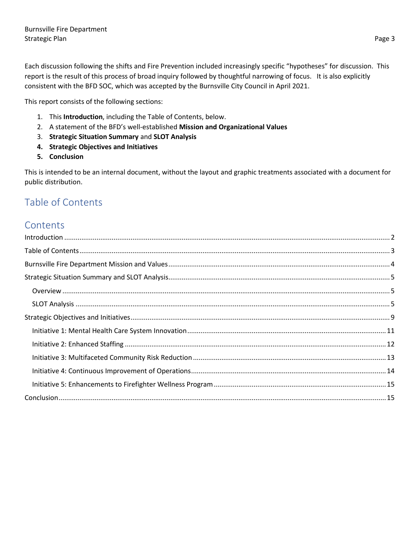Each discussion following the shifts and Fire Prevention included increasingly specific "hypotheses" for discussion. This report is the result of this process of broad inquiry followed by thoughtful narrowing of focus. It is also explicitly consistent with the BFD SOC, which was accepted by the Burnsville City Council in April 2021.

This report consists of the following sections:

- 1. This **Introduction**, including the Table of Contents, below.
- 2. A statement of the BFD's well-established **Mission and Organizational Values**
- 3. **Strategic Situation Summary** and **SLOT Analysis**
- **4. Strategic Objectives and Initiatives**
- **5. Conclusion**

This is intended to be an internal document, without the layout and graphic treatments associated with a document for public distribution.

### <span id="page-2-0"></span>Table of Contents

### **Contents**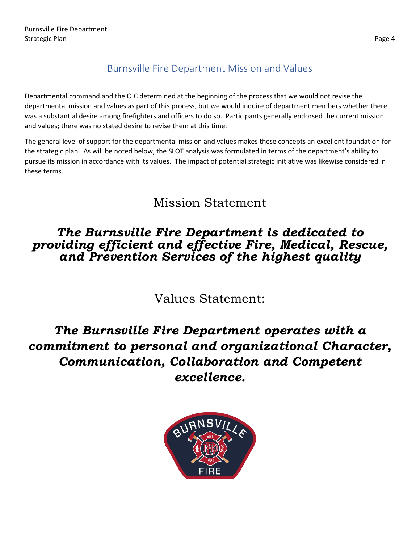# Burnsville Fire Department Mission and Values

<span id="page-3-0"></span>Departmental command and the OIC determined at the beginning of the process that we would not revise the departmental mission and values as part of this process, but we would inquire of department members whether there was a substantial desire among firefighters and officers to do so. Participants generally endorsed the current mission and values; there was no stated desire to revise them at this time.

The general level of support for the departmental mission and values makes these concepts an excellent foundation for the strategic plan. As will be noted below, the SLOT analysis was formulated in terms of the department's ability to pursue its mission in accordance with its values. The impact of potential strategic initiative was likewise considered in these terms.

# Mission Statement

# *The Burnsville Fire Department is dedicated to providing efficient and effective Fire, Medical, Rescue, and Prevention Services of the highest quality*

Values Statement:

# *The Burnsville Fire Department operates with a commitment to personal and organizational Character, Communication, Collaboration and Competent excellence.*

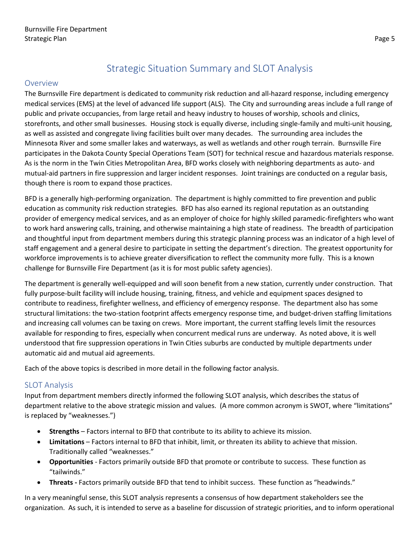# Strategic Situation Summary and SLOT Analysis

#### <span id="page-4-1"></span><span id="page-4-0"></span>Overview

The Burnsville Fire department is dedicated to community risk reduction and all-hazard response, including emergency medical services (EMS) at the level of advanced life support (ALS). The City and surrounding areas include a full range of public and private occupancies, from large retail and heavy industry to houses of worship, schools and clinics, storefronts, and other small businesses. Housing stock is equally diverse, including single-family and multi-unit housing, as well as assisted and congregate living facilities built over many decades. The surrounding area includes the Minnesota River and some smaller lakes and waterways, as well as wetlands and other rough terrain. Burnsville Fire participates in the Dakota County Special Operations Team (SOT) for technical rescue and hazardous materials response. As is the norm in the Twin Cities Metropolitan Area, BFD works closely with neighboring departments as auto- and mutual-aid partners in fire suppression and larger incident responses. Joint trainings are conducted on a regular basis, though there is room to expand those practices.

BFD is a generally high-performing organization. The department is highly committed to fire prevention and public education as community risk reduction strategies. BFD has also earned its regional reputation as an outstanding provider of emergency medical services, and as an employer of choice for highly skilled paramedic-firefighters who want to work hard answering calls, training, and otherwise maintaining a high state of readiness. The breadth of participation and thoughtful input from department members during this strategic planning process was an indicator of a high level of staff engagement and a general desire to participate in setting the department's direction. The greatest opportunity for workforce improvements is to achieve greater diversification to reflect the community more fully. This is a known challenge for Burnsville Fire Department (as it is for most public safety agencies).

The department is generally well-equipped and will soon benefit from a new station, currently under construction. That fully purpose-built facility will include housing, training, fitness, and vehicle and equipment spaces designed to contribute to readiness, firefighter wellness, and efficiency of emergency response. The department also has some structural limitations: the two-station footprint affects emergency response time, and budget-driven staffing limitations and increasing call volumes can be taxing on crews. More important, the current staffing levels limit the resources available for responding to fires, especially when concurrent medical runs are underway. As noted above, it is well understood that fire suppression operations in Twin Cities suburbs are conducted by multiple departments under automatic aid and mutual aid agreements.

Each of the above topics is described in more detail in the following factor analysis.

#### <span id="page-4-2"></span>SLOT Analysis

Input from department members directly informed the following SLOT analysis, which describes the status of department relative to the above strategic mission and values. (A more common acronym is SWOT, where "limitations" is replaced by "weaknesses.")

- **Strengths** Factors internal to BFD that contribute to its ability to achieve its mission.
- **Limitations** Factors internal to BFD that inhibit, limit, or threaten its ability to achieve that mission. Traditionally called "weaknesses."
- **Opportunities**  Factors primarily outside BFD that promote or contribute to success. These function as "tailwinds."
- **Threats -** Factors primarily outside BFD that tend to inhibit success. These function as "headwinds."

In a very meaningful sense, this SLOT analysis represents a consensus of how department stakeholders see the organization. As such, it is intended to serve as a baseline for discussion of strategic priorities, and to inform operational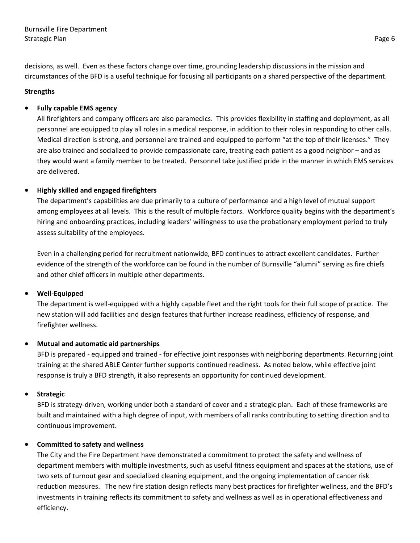decisions, as well. Even as these factors change over time, grounding leadership discussions in the mission and circumstances of the BFD is a useful technique for focusing all participants on a shared perspective of the department.

#### **Strengths**

#### • **Fully capable EMS agency**

All firefighters and company officers are also paramedics. This provides flexibility in staffing and deployment, as all personnel are equipped to play all roles in a medical response, in addition to their roles in responding to other calls. Medical direction is strong, and personnel are trained and equipped to perform "at the top of their licenses." They are also trained and socialized to provide compassionate care, treating each patient as a good neighbor – and as they would want a family member to be treated. Personnel take justified pride in the manner in which EMS services are delivered.

#### • **Highly skilled and engaged firefighters**

The department's capabilities are due primarily to a culture of performance and a high level of mutual support among employees at all levels. This is the result of multiple factors. Workforce quality begins with the department's hiring and onboarding practices, including leaders' willingness to use the probationary employment period to truly assess suitability of the employees.

Even in a challenging period for recruitment nationwide, BFD continues to attract excellent candidates. Further evidence of the strength of the workforce can be found in the number of Burnsville "alumni" serving as fire chiefs and other chief officers in multiple other departments.

#### • **Well-Equipped**

The department is well-equipped with a highly capable fleet and the right tools for their full scope of practice. The new station will add facilities and design features that further increase readiness, efficiency of response, and firefighter wellness.

#### • **Mutual and automatic aid partnerships**

BFD is prepared - equipped and trained - for effective joint responses with neighboring departments. Recurring joint training at the shared ABLE Center further supports continued readiness. As noted below, while effective joint response is truly a BFD strength, it also represents an opportunity for continued development.

#### • **Strategic**

BFD is strategy-driven, working under both a standard of cover and a strategic plan. Each of these frameworks are built and maintained with a high degree of input, with members of all ranks contributing to setting direction and to continuous improvement.

#### • **Committed to safety and wellness**

The City and the Fire Department have demonstrated a commitment to protect the safety and wellness of department members with multiple investments, such as useful fitness equipment and spaces at the stations, use of two sets of turnout gear and specialized cleaning equipment, and the ongoing implementation of cancer risk reduction measures. The new fire station design reflects many best practices for firefighter wellness, and the BFD's investments in training reflects its commitment to safety and wellness as well as in operational effectiveness and efficiency.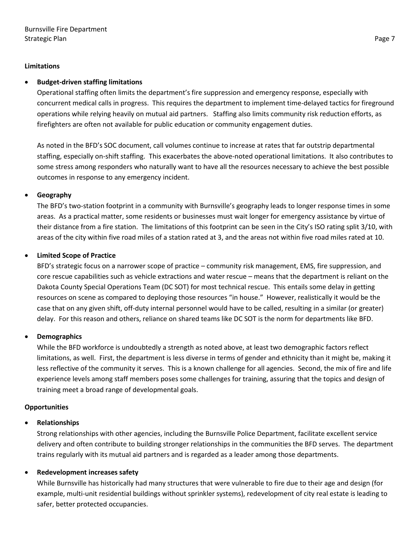#### **Limitations**

#### • **Budget-driven staffing limitations**

Operational staffing often limits the department's fire suppression and emergency response, especially with concurrent medical calls in progress. This requires the department to implement time-delayed tactics for fireground operations while relying heavily on mutual aid partners. Staffing also limits community risk reduction efforts, as firefighters are often not available for public education or community engagement duties.

As noted in the BFD's SOC document, call volumes continue to increase at rates that far outstrip departmental staffing, especially on-shift staffing. This exacerbates the above-noted operational limitations. It also contributes to some stress among responders who naturally want to have all the resources necessary to achieve the best possible outcomes in response to any emergency incident.

#### • **Geography**

The BFD's two-station footprint in a community with Burnsville's geography leads to longer response times in some areas. As a practical matter, some residents or businesses must wait longer for emergency assistance by virtue of their distance from a fire station. The limitations of this footprint can be seen in the City's ISO rating split 3/10, with areas of the city within five road miles of a station rated at 3, and the areas not within five road miles rated at 10.

#### • **Limited Scope of Practice**

BFD's strategic focus on a narrower scope of practice – community risk management, EMS, fire suppression, and core rescue capabilities such as vehicle extractions and water rescue – means that the department is reliant on the Dakota County Special Operations Team (DC SOT) for most technical rescue. This entails some delay in getting resources on scene as compared to deploying those resources "in house." However, realistically it would be the case that on any given shift, off-duty internal personnel would have to be called, resulting in a similar (or greater) delay. For this reason and others, reliance on shared teams like DC SOT is the norm for departments like BFD.

#### • **Demographics**

While the BFD workforce is undoubtedly a strength as noted above, at least two demographic factors reflect limitations, as well. First, the department is less diverse in terms of gender and ethnicity than it might be, making it less reflective of the community it serves. This is a known challenge for all agencies. Second, the mix of fire and life experience levels among staff members poses some challenges for training, assuring that the topics and design of training meet a broad range of developmental goals.

#### **Opportunities**

#### • **Relationships**

Strong relationships with other agencies, including the Burnsville Police Department, facilitate excellent service delivery and often contribute to building stronger relationships in the communities the BFD serves. The department trains regularly with its mutual aid partners and is regarded as a leader among those departments.

#### • **Redevelopment increases safety**

While Burnsville has historically had many structures that were vulnerable to fire due to their age and design (for example, multi-unit residential buildings without sprinkler systems), redevelopment of city real estate is leading to safer, better protected occupancies.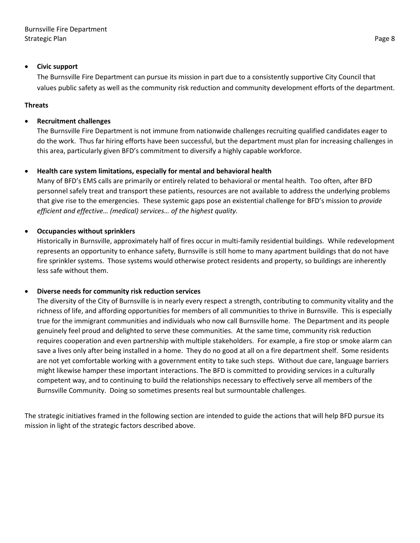#### • **Civic support**

The Burnsville Fire Department can pursue its mission in part due to a consistently supportive City Council that values public safety as well as the community risk reduction and community development efforts of the department.

#### **Threats**

#### • **Recruitment challenges**

The Burnsville Fire Department is not immune from nationwide challenges recruiting qualified candidates eager to do the work. Thus far hiring efforts have been successful, but the department must plan for increasing challenges in this area, particularly given BFD's commitment to diversify a highly capable workforce.

#### • **Health care system limitations, especially for mental and behavioral health**

Many of BFD's EMS calls are primarily or entirely related to behavioral or mental health. Too often, after BFD personnel safely treat and transport these patients, resources are not available to address the underlying problems that give rise to the emergencies. These systemic gaps pose an existential challenge for BFD's mission to *provide efficient and effective… (medical) services… of the highest quality.*

#### • **Occupancies without sprinklers**

Historically in Burnsville, approximately half of fires occur in multi-family residential buildings. While redevelopment represents an opportunity to enhance safety, Burnsville is still home to many apartment buildings that do not have fire sprinkler systems. Those systems would otherwise protect residents and property, so buildings are inherently less safe without them.

#### • **Diverse needs for community risk reduction services**

The diversity of the City of Burnsville is in nearly every respect a strength, contributing to community vitality and the richness of life, and affording opportunities for members of all communities to thrive in Burnsville. This is especially true for the immigrant communities and individuals who now call Burnsville home. The Department and its people genuinely feel proud and delighted to serve these communities. At the same time, community risk reduction requires cooperation and even partnership with multiple stakeholders. For example, a fire stop or smoke alarm can save a lives only after being installed in a home. They do no good at all on a fire department shelf. Some residents are not yet comfortable working with a government entity to take such steps. Without due care, language barriers might likewise hamper these important interactions. The BFD is committed to providing services in a culturally competent way, and to continuing to build the relationships necessary to effectively serve all members of the Burnsville Community. Doing so sometimes presents real but surmountable challenges.

The strategic initiatives framed in the following section are intended to guide the actions that will help BFD pursue its mission in light of the strategic factors described above.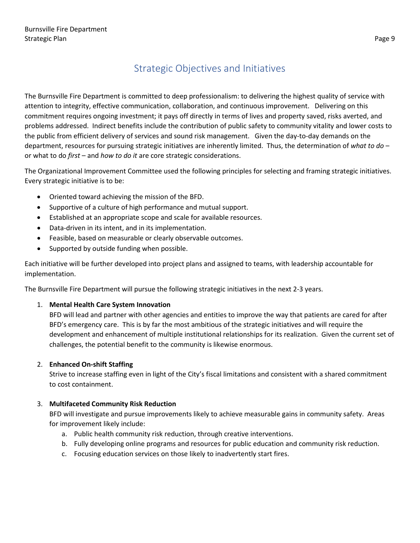# Strategic Objectives and Initiatives

<span id="page-8-0"></span>The Burnsville Fire Department is committed to deep professionalism: to delivering the highest quality of service with attention to integrity, effective communication, collaboration, and continuous improvement. Delivering on this commitment requires ongoing investment; it pays off directly in terms of lives and property saved, risks averted, and problems addressed. Indirect benefits include the contribution of public safety to community vitality and lower costs to the public from efficient delivery of services and sound risk management. Given the day-to-day demands on the department, resources for pursuing strategic initiatives are inherently limited. Thus, the determination of *what to do* – or what to do *first* – and *how to do it* are core strategic considerations.

The Organizational Improvement Committee used the following principles for selecting and framing strategic initiatives. Every strategic initiative is to be:

- Oriented toward achieving the mission of the BFD.
- Supportive of a culture of high performance and mutual support.
- Established at an appropriate scope and scale for available resources.
- Data-driven in its intent, and in its implementation.
- Feasible, based on measurable or clearly observable outcomes.
- Supported by outside funding when possible.

Each initiative will be further developed into project plans and assigned to teams, with leadership accountable for implementation.

The Burnsville Fire Department will pursue the following strategic initiatives in the next 2-3 years.

#### 1. **Mental Health Care System Innovation**

BFD will lead and partner with other agencies and entities to improve the way that patients are cared for after BFD's emergency care. This is by far the most ambitious of the strategic initiatives and will require the development and enhancement of multiple institutional relationships for its realization. Given the current set of challenges, the potential benefit to the community is likewise enormous.

#### 2. **Enhanced On-shift Staffing**

Strive to increase staffing even in light of the City's fiscal limitations and consistent with a shared commitment to cost containment.

#### 3. **Multifaceted Community Risk Reduction**

BFD will investigate and pursue improvements likely to achieve measurable gains in community safety. Areas for improvement likely include:

- a. Public health community risk reduction, through creative interventions.
- b. Fully developing online programs and resources for public education and community risk reduction.
- c. Focusing education services on those likely to inadvertently start fires.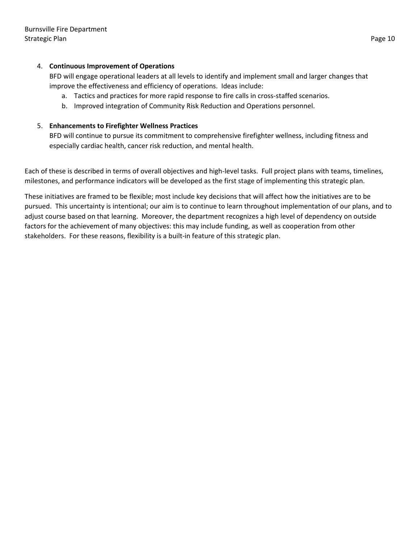#### 4. **Continuous Improvement of Operations**

BFD will engage operational leaders at all levels to identify and implement small and larger changes that improve the effectiveness and efficiency of operations. Ideas include:

- a. Tactics and practices for more rapid response to fire calls in cross-staffed scenarios.
- b. Improved integration of Community Risk Reduction and Operations personnel.

#### 5. **Enhancements to Firefighter Wellness Practices**

BFD will continue to pursue its commitment to comprehensive firefighter wellness, including fitness and especially cardiac health, cancer risk reduction, and mental health.

Each of these is described in terms of overall objectives and high-level tasks. Full project plans with teams, timelines, milestones, and performance indicators will be developed as the first stage of implementing this strategic plan.

These initiatives are framed to be flexible; most include key decisions that will affect how the initiatives are to be pursued. This uncertainty is intentional; our aim is to continue to learn throughout implementation of our plans, and to adjust course based on that learning. Moreover, the department recognizes a high level of dependency on outside factors for the achievement of many objectives: this may include funding, as well as cooperation from other stakeholders. For these reasons, flexibility is a built-in feature of this strategic plan.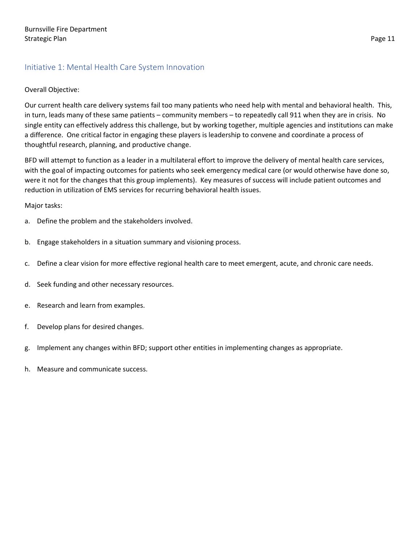#### <span id="page-10-0"></span>Initiative 1: Mental Health Care System Innovation

#### Overall Objective:

Our current health care delivery systems fail too many patients who need help with mental and behavioral health. This, in turn, leads many of these same patients – community members – to repeatedly call 911 when they are in crisis. No single entity can effectively address this challenge, but by working together, multiple agencies and institutions can make a difference. One critical factor in engaging these players is leadership to convene and coordinate a process of thoughtful research, planning, and productive change.

BFD will attempt to function as a leader in a multilateral effort to improve the delivery of mental health care services, with the goal of impacting outcomes for patients who seek emergency medical care (or would otherwise have done so, were it not for the changes that this group implements). Key measures of success will include patient outcomes and reduction in utilization of EMS services for recurring behavioral health issues.

Major tasks:

- a. Define the problem and the stakeholders involved.
- b. Engage stakeholders in a situation summary and visioning process.
- c. Define a clear vision for more effective regional health care to meet emergent, acute, and chronic care needs.
- d. Seek funding and other necessary resources.
- e. Research and learn from examples.
- f. Develop plans for desired changes.
- g. Implement any changes within BFD; support other entities in implementing changes as appropriate.
- h. Measure and communicate success.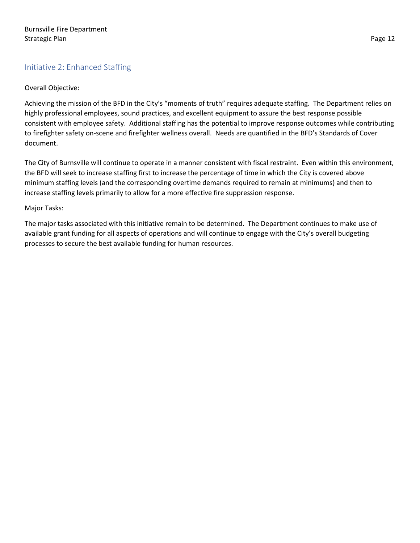#### <span id="page-11-0"></span>Initiative 2: Enhanced Staffing

#### Overall Objective:

Achieving the mission of the BFD in the City's "moments of truth" requires adequate staffing. The Department relies on highly professional employees, sound practices, and excellent equipment to assure the best response possible consistent with employee safety. Additional staffing has the potential to improve response outcomes while contributing to firefighter safety on-scene and firefighter wellness overall. Needs are quantified in the BFD's Standards of Cover document.

The City of Burnsville will continue to operate in a manner consistent with fiscal restraint. Even within this environment, the BFD will seek to increase staffing first to increase the percentage of time in which the City is covered above minimum staffing levels (and the corresponding overtime demands required to remain at minimums) and then to increase staffing levels primarily to allow for a more effective fire suppression response.

#### Major Tasks:

The major tasks associated with this initiative remain to be determined. The Department continues to make use of available grant funding for all aspects of operations and will continue to engage with the City's overall budgeting processes to secure the best available funding for human resources.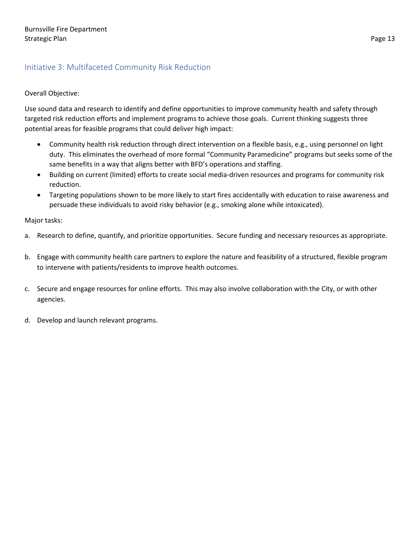#### <span id="page-12-0"></span>Initiative 3: Multifaceted Community Risk Reduction

#### Overall Objective:

Use sound data and research to identify and define opportunities to improve community health and safety through targeted risk reduction efforts and implement programs to achieve those goals. Current thinking suggests three potential areas for feasible programs that could deliver high impact:

- Community health risk reduction through direct intervention on a flexible basis, e.g., using personnel on light duty. This eliminates the overhead of more formal "Community Paramedicine" programs but seeks some of the same benefits in a way that aligns better with BFD's operations and staffing.
- Building on current (limited) efforts to create social media-driven resources and programs for community risk reduction.
- Targeting populations shown to be more likely to start fires accidentally with education to raise awareness and persuade these individuals to avoid risky behavior (e.g., smoking alone while intoxicated).

#### Major tasks:

- a. Research to define, quantify, and prioritize opportunities. Secure funding and necessary resources as appropriate.
- b. Engage with community health care partners to explore the nature and feasibility of a structured, flexible program to intervene with patients/residents to improve health outcomes.
- c. Secure and engage resources for online efforts. This may also involve collaboration with the City, or with other agencies.
- d. Develop and launch relevant programs.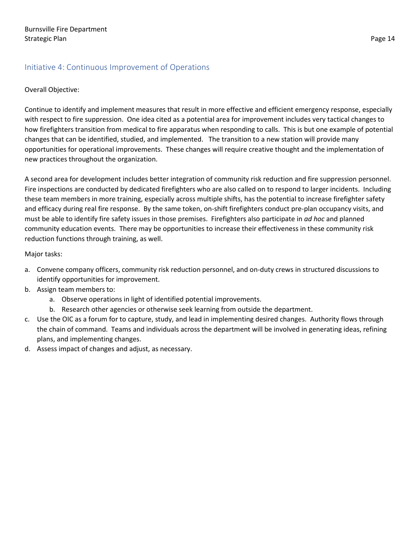#### <span id="page-13-0"></span>Initiative 4: Continuous Improvement of Operations

#### Overall Objective:

Continue to identify and implement measures that result in more effective and efficient emergency response, especially with respect to fire suppression. One idea cited as a potential area for improvement includes very tactical changes to how firefighters transition from medical to fire apparatus when responding to calls. This is but one example of potential changes that can be identified, studied, and implemented. The transition to a new station will provide many opportunities for operational improvements. These changes will require creative thought and the implementation of new practices throughout the organization.

A second area for development includes better integration of community risk reduction and fire suppression personnel. Fire inspections are conducted by dedicated firefighters who are also called on to respond to larger incidents. Including these team members in more training, especially across multiple shifts, has the potential to increase firefighter safety and efficacy during real fire response. By the same token, on-shift firefighters conduct pre-plan occupancy visits, and must be able to identify fire safety issues in those premises. Firefighters also participate in *ad hoc* and planned community education events. There may be opportunities to increase their effectiveness in these community risk reduction functions through training, as well.

Major tasks:

- a. Convene company officers, community risk reduction personnel, and on-duty crews in structured discussions to identify opportunities for improvement.
- b. Assign team members to:
	- a. Observe operations in light of identified potential improvements.
	- b. Research other agencies or otherwise seek learning from outside the department.
- c. Use the OIC as a forum for to capture, study, and lead in implementing desired changes. Authority flows through the chain of command. Teams and individuals across the department will be involved in generating ideas, refining plans, and implementing changes.
- d. Assess impact of changes and adjust, as necessary.